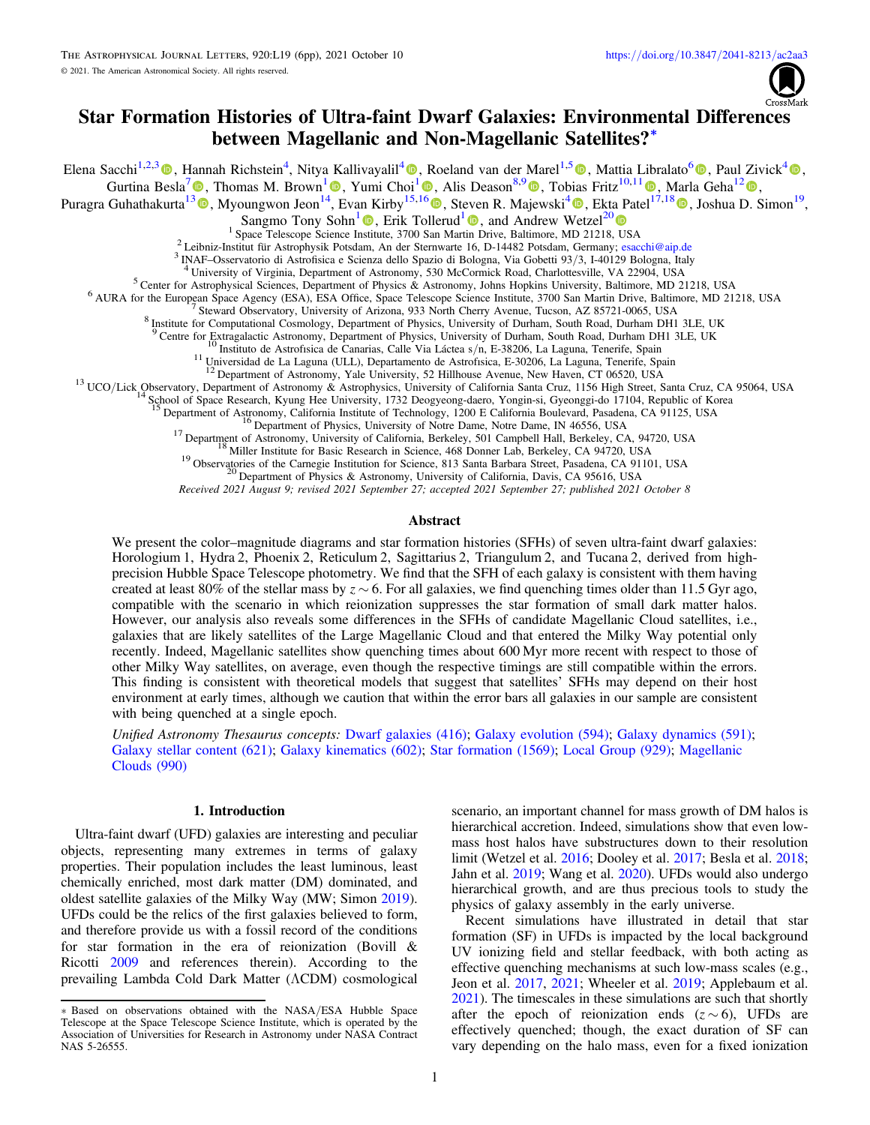

# Star Formation Histories of Ultra-faint Dwarf Galaxies: Environmental Differences between Magellanic and Non-Magellanic Satellites?\*

Elena Sacchi<sup>1,2,[3](https://orcid.org/0000-0001-5618-0109)</sup> (), Hannah Richstein<sup>[4](https://orcid.org/0000-0001-9409-3911)</sup>[,](https://orcid.org/0000-0001-9409-3911) Nitya Kallivayalil<sup>4</sup> (), Roeland van der Marel<sup>1,[5](https://orcid.org/0000-0001-7827-7825)</sup> (), Mattia Libralato<sup>[6](https://orcid.org/0000-0001-9673-7397)</sup> (), Paul Zivick<sup>4</sup> (), Gurtina Besla<sup>[7](https://orcid.org/0000-0003-0715-2173)</sup>  $\Phi$ , Thomas M. Brown<sup>[1](https://orcid.org/0000-0002-3122-300X)</sup>  $\Phi$ [,](https://orcid.org/0000-0001-6146-2645) Yumi Choi<sup>1</sup>  $\Phi$ , Alis Deason<sup>8,[9](https://orcid.org/0000-0001-6146-2645)</sup>  $\Phi$ , Tobias Fritz<sup>10,11</sup>  $\Phi$ , Marla Geha<sup>1[2](https://orcid.org/0000-0002-7007-9725)</sup> $\Phi$ , Puragra Guhathakurta<sup>1[3](https://orcid.org/0000-0001-8867-4234)</sup> (**b**[,](https://orcid.org/0000-0003-2025-3147) Myoungwon Jeon<sup>1[4](https://orcid.org/0000-0003-2025-3147)</sup>, Evan Kirby<sup>15[,1](https://orcid.org/0000-0003-1680-1884)[6](https://orcid.org/0000-0001-6196-5162)</sup> (**b**, Steven R. Majewski<sup>4</sup> (**b**, Ekta Patel<sup>[17](https://orcid.org/0000-0002-3122-300X),1[8](https://orcid.org/0000-0002-9820-1219)</sup> (**b**, Joshua D. Simon<sup>19</sup>,

Sangmo Tony Sohn<sup>[1](https://orcid.org/0000-0002-9599-310X)</sup>  $\bullet$ , Erik Tollerud<sup>1</sup>  $\bullet$ , and Andrew Wetzel<sup>2[0](https://orcid.org/0000-0003-0603-8942)</sup>  $\bullet$ <br><sup>1</sup> Space Telescope Science Institute, 3700 San Martin Drive, Baltimore, MD 21218, USA

<sup>2</sup> Leibniz-Institut für Astrophysik Potsdam, An der Sternwarte 16, D-14482 Potsdam, Germany; [esacchi@aip.de](mailto:esacchi@aip.de)<br><sup>3</sup> INAF-Osservatorio di Astrofisica e Scienza dello Spazio di Bologna, Via Gobetti 93/3, I-40129 Bologna, Italy

<sup>9</sup> Centre for Extragalactic Astronomy, Department of Physics, University of Durham, South Road, Durham DH1 3LE, UK<br><sup>10</sup> Instituto de Astrofisica de Canarias, Calle Via Láctea s/n, E-38206, La Laguna, Tenerife, Spain<br><sup>11</sup>

<sup>16</sup> Department of Physics, University of Notre Dame, Notre Dame, IN 46556, USA<br><sup>17</sup> Department of Astronomy, University of California, Berkeley, 501 Campbell Hall, Berkeley, CA, 94720, USA<br><sup>18</sup> Miller Institute for Basic

Received 2021 August 9; revised 2021 September 27; accepted 2021 September 27; published 2021 October 8

### Abstract

We present the color–magnitude diagrams and star formation histories (SFHs) of seven ultra-faint dwarf galaxies: Horologium 1, Hydra 2, Phoenix 2, Reticulum 2, Sagittarius 2, Triangulum 2, and Tucana 2, derived from highprecision Hubble Space Telescope photometry. We find that the SFH of each galaxy is consistent with them having created at least 80% of the stellar mass by  $z \sim 6$ . For all galaxies, we find quenching times older than 11.5 Gyr ago, compatible with the scenario in which reionization suppresses the star formation of small dark matter halos. However, our analysis also reveals some differences in the SFHs of candidate Magellanic Cloud satellites, i.e., galaxies that are likely satellites of the Large Magellanic Cloud and that entered the Milky Way potential only recently. Indeed, Magellanic satellites show quenching times about 600 Myr more recent with respect to those of other Milky Way satellites, on average, even though the respective timings are still compatible within the errors. This finding is consistent with theoretical models that suggest that satellites' SFHs may depend on their host environment at early times, although we caution that within the error bars all galaxies in our sample are consistent with being quenched at a single epoch.

Unified Astronomy Thesaurus concepts: [Dwarf galaxies](http://astrothesaurus.org/uat/416) (416); [Galaxy evolution](http://astrothesaurus.org/uat/594) (594); [Galaxy dynamics](http://astrothesaurus.org/uat/591) (591); [Galaxy stellar content](http://astrothesaurus.org/uat/621) (621); [Galaxy kinematics](http://astrothesaurus.org/uat/602) (602); [Star formation](http://astrothesaurus.org/uat/1569) (1569); [Local Group](http://astrothesaurus.org/uat/929) (929); [Magellanic](http://astrothesaurus.org/uat/990) [Clouds](http://astrothesaurus.org/uat/990) (990)

### 1. Introduction

Ultra-faint dwarf (UFD) galaxies are interesting and peculiar objects, representing many extremes in terms of galaxy properties. Their population includes the least luminous, least chemically enriched, most dark matter (DM) dominated, and oldest satellite galaxies of the Milky Way (MW; Simon [2019](#page-5-0)). UFDs could be the relics of the first galaxies believed to form, and therefore provide us with a fossil record of the conditions for star formation in the era of reionization (Bovill & Ricotti [2009](#page-5-0) and references therein). According to the prevailing Lambda Cold Dark Matter (ΛCDM) cosmological

scenario, an important channel for mass growth of DM halos is hierarchical accretion. Indeed, simulations show that even lowmass host halos have substructures down to their resolution limit (Wetzel et al. [2016;](#page-5-0) Dooley et al. [2017](#page-5-0); Besla et al. [2018](#page-5-0); Jahn et al. [2019](#page-5-0); Wang et al. [2020](#page-5-0)). UFDs would also undergo hierarchical growth, and are thus precious tools to study the physics of galaxy assembly in the early universe.

Recent simulations have illustrated in detail that star formation (SF) in UFDs is impacted by the local background UV ionizing field and stellar feedback, with both acting as effective quenching mechanisms at such low-mass scales (e.g., Jeon et al. [2017](#page-5-0), [2021](#page-5-0); Wheeler et al. [2019;](#page-5-0) Applebaum et al. [2021](#page-5-0)). The timescales in these simulations are such that shortly after the epoch of reionization ends  $(z \sim 6)$ , UFDs are effectively quenched; though, the exact duration of SF can vary depending on the halo mass, even for a fixed ionization

<sup>\*</sup> Based on observations obtained with the NASA/ESA Hubble Space Telescope at the Space Telescope Science Institute, which is operated by the Association of Universities for Research in Astronomy under NASA Contract NAS 5-26555.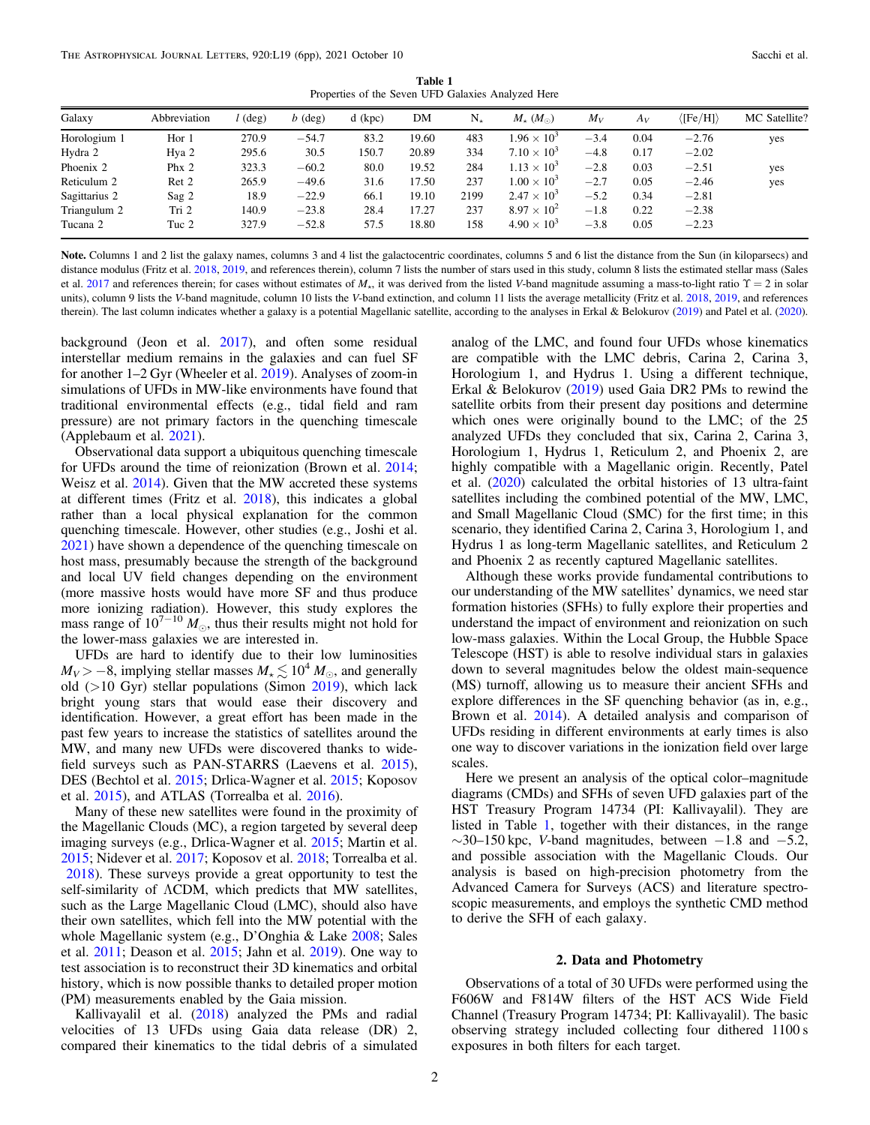Table 1 Properties of the Seven UFD Galaxies Analyzed Here

<span id="page-1-0"></span>

| $\langle$ [Fe/H] $\rangle$<br>MC Satellite? |
|---------------------------------------------|
| $-2.76$<br>yes                              |
| $-2.02$                                     |
| $-2.51$<br>yes                              |
| $-2.46$<br>yes                              |
| $-2.81$                                     |
| $-2.38$                                     |
| $-2.23$                                     |
|                                             |

Note. Columns 1 and 2 list the galaxy names, columns 3 and 4 list the galactocentric coordinates, columns 5 and 6 list the distance from the Sun (in kiloparsecs) and distance modulus (Fritz et al. [2018,](#page-5-0) [2019,](#page-5-0) and references therein), column 7 lists the number of stars used in this study, column 8 lists the estimated stellar mass (Sales et al. [2017](#page-5-0) and references therein; for cases without estimates of  $M<sub>*</sub>$ , it was derived from the listed V-band magnitude assuming a mass-to-light ratio  $\Upsilon = 2$  in solar units), column 9 lists the V-band magnitude, column 10 lists the V-band extinction, and column 11 lists the average metallicity (Fritz et al. [2018](#page-5-0), [2019](#page-5-0), and references therein). The last column indicates whether a galaxy is a potential Magellanic satellite, according to the analyses in Erkal & Belokurov ([2019](#page-5-0)) and Patel et al. ([2020](#page-5-0)).

background (Jeon et al. [2017](#page-5-0)), and often some residual interstellar medium remains in the galaxies and can fuel SF for another 1–2 Gyr (Wheeler et al. [2019](#page-5-0)). Analyses of zoom-in simulations of UFDs in MW-like environments have found that traditional environmental effects (e.g., tidal field and ram pressure) are not primary factors in the quenching timescale (Applebaum et al. [2021](#page-5-0)).

Observational data support a ubiquitous quenching timescale for UFDs around the time of reionization (Brown et al. [2014](#page-5-0); Weisz et al. [2014](#page-5-0)). Given that the MW accreted these systems at different times (Fritz et al. [2018](#page-5-0)), this indicates a global rather than a local physical explanation for the common quenching timescale. However, other studies (e.g., Joshi et al. [2021](#page-5-0)) have shown a dependence of the quenching timescale on host mass, presumably because the strength of the background and local UV field changes depending on the environment (more massive hosts would have more SF and thus produce more ionizing radiation). However, this study explores the mass range of  $10^{7-10} M_{\odot}$ , thus their results might not hold for the lower-mass galaxies we are interested in.

UFDs are hard to identify due to their low luminosities  $M_V > -8$ , implying stellar masses  $M_{\star} \lesssim 10^4 M_{\odot}$ , and generally old (>10 Gyr) stellar populations (Simon [2019](#page-5-0)), which lack bright young stars that would ease their discovery and identification. However, a great effort has been made in the past few years to increase the statistics of satellites around the MW, and many new UFDs were discovered thanks to widefield surveys such as PAN-STARRS (Laevens et al. [2015](#page-5-0)), DES (Bechtol et al. [2015](#page-5-0); Drlica-Wagner et al. [2015;](#page-5-0) Koposov et al. [2015](#page-5-0)), and ATLAS (Torrealba et al. [2016](#page-5-0)).

Many of these new satellites were found in the proximity of the Magellanic Clouds (MC), a region targeted by several deep imaging surveys (e.g., Drlica-Wagner et al. [2015;](#page-5-0) Martin et al. [2015;](#page-5-0) Nidever et al. [2017;](#page-5-0) Koposov et al. [2018;](#page-5-0) Torrealba et al. [2018](#page-5-0)). These surveys provide a great opportunity to test the self-similarity of ΛCDM, which predicts that MW satellites, such as the Large Magellanic Cloud (LMC), should also have their own satellites, which fell into the MW potential with the whole Magellanic system (e.g., D'Onghia & Lake [2008](#page-5-0); Sales et al. [2011;](#page-5-0) Deason et al. [2015;](#page-5-0) Jahn et al. [2019](#page-5-0)). One way to test association is to reconstruct their 3D kinematics and orbital history, which is now possible thanks to detailed proper motion (PM) measurements enabled by the Gaia mission.

Kallivayalil et al. ([2018](#page-5-0)) analyzed the PMs and radial velocities of 13 UFDs using Gaia data release (DR) 2, compared their kinematics to the tidal debris of a simulated

analog of the LMC, and found four UFDs whose kinematics are compatible with the LMC debris, Carina 2, Carina 3, Horologium 1, and Hydrus 1. Using a different technique, Erkal & Belokurov ([2019](#page-5-0)) used Gaia DR2 PMs to rewind the satellite orbits from their present day positions and determine which ones were originally bound to the LMC; of the 25 analyzed UFDs they concluded that six, Carina 2, Carina 3, Horologium 1, Hydrus 1, Reticulum 2, and Phoenix 2, are highly compatible with a Magellanic origin. Recently, Patel et al. ([2020](#page-5-0)) calculated the orbital histories of 13 ultra-faint satellites including the combined potential of the MW, LMC, and Small Magellanic Cloud (SMC) for the first time; in this scenario, they identified Carina 2, Carina 3, Horologium 1, and Hydrus 1 as long-term Magellanic satellites, and Reticulum 2 and Phoenix 2 as recently captured Magellanic satellites.

Although these works provide fundamental contributions to our understanding of the MW satellites' dynamics, we need star formation histories (SFHs) to fully explore their properties and understand the impact of environment and reionization on such low-mass galaxies. Within the Local Group, the Hubble Space Telescope (HST) is able to resolve individual stars in galaxies down to several magnitudes below the oldest main-sequence (MS) turnoff, allowing us to measure their ancient SFHs and explore differences in the SF quenching behavior (as in, e.g., Brown et al. [2014](#page-5-0)). A detailed analysis and comparison of UFDs residing in different environments at early times is also one way to discover variations in the ionization field over large scales.

Here we present an analysis of the optical color–magnitude diagrams (CMDs) and SFHs of seven UFD galaxies part of the HST Treasury Program 14734 (PI: Kallivayalil). They are listed in Table 1, together with their distances, in the range  $\sim$ 30–150 kpc, V-band magnitudes, between −1.8 and −5.2, and possible association with the Magellanic Clouds. Our analysis is based on high-precision photometry from the Advanced Camera for Surveys (ACS) and literature spectroscopic measurements, and employs the synthetic CMD method to derive the SFH of each galaxy.

# 2. Data and Photometry

Observations of a total of 30 UFDs were performed using the F606W and F814W filters of the HST ACS Wide Field Channel (Treasury Program 14734; PI: Kallivayalil). The basic observing strategy included collecting four dithered 1100 s exposures in both filters for each target.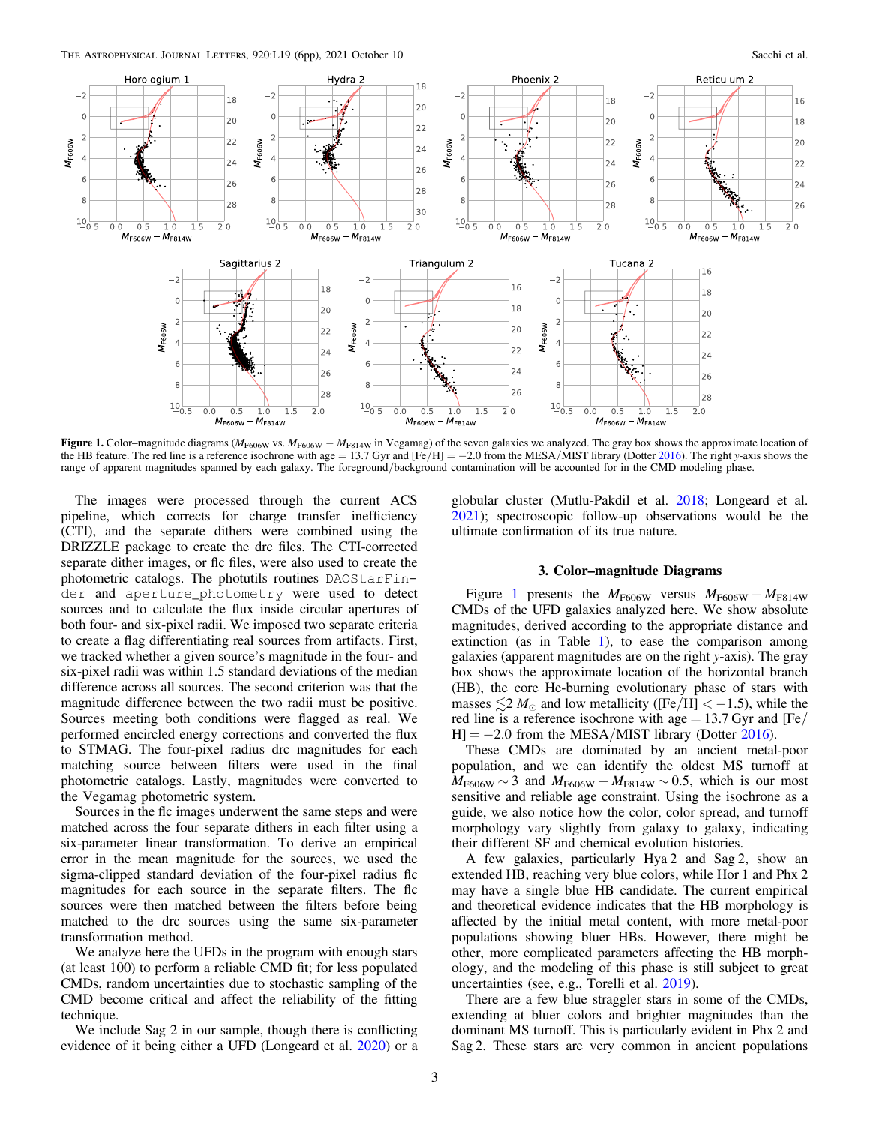<span id="page-2-0"></span>

Figure 1. Color–magnitude diagrams ( $M_{\rm F606W}$  vs.  $M_{\rm F606W} - M_{\rm F814W}$  in Vegamag) of the seven galaxies we analyzed. The gray box shows the approximate location of the HB feature. The red line is a reference isochrone with age = 13.7 Gyr and  $[Fe/H] = -2.0$  from the MESA/MIST library (Dotter [2016](#page-5-0)). The right y-axis shows the range of apparent magnitudes spanned by each galaxy. The foreground/background contamination will be accounted for in the CMD modeling phase.

The images were processed through the current ACS pipeline, which corrects for charge transfer inefficiency (CTI), and the separate dithers were combined using the DRIZZLE package to create the drc files. The CTI-corrected separate dither images, or flc files, were also used to create the photometric catalogs. The photutils routines DAOStarFinder and aperture\_photometry were used to detect sources and to calculate the flux inside circular apertures of both four- and six-pixel radii. We imposed two separate criteria to create a flag differentiating real sources from artifacts. First, we tracked whether a given source's magnitude in the four- and six-pixel radii was within 1.5 standard deviations of the median difference across all sources. The second criterion was that the magnitude difference between the two radii must be positive. Sources meeting both conditions were flagged as real. We performed encircled energy corrections and converted the flux to STMAG. The four-pixel radius drc magnitudes for each matching source between filters were used in the final photometric catalogs. Lastly, magnitudes were converted to the Vegamag photometric system.

Sources in the flc images underwent the same steps and were matched across the four separate dithers in each filter using a six-parameter linear transformation. To derive an empirical error in the mean magnitude for the sources, we used the sigma-clipped standard deviation of the four-pixel radius flc magnitudes for each source in the separate filters. The flc sources were then matched between the filters before being matched to the drc sources using the same six-parameter transformation method.

We analyze here the UFDs in the program with enough stars (at least 100) to perform a reliable CMD fit; for less populated CMDs, random uncertainties due to stochastic sampling of the CMD become critical and affect the reliability of the fitting technique.

We include Sag 2 in our sample, though there is conflicting evidence of it being either a UFD (Longeard et al. [2020](#page-5-0)) or a

globular cluster (Mutlu-Pakdil et al. [2018;](#page-5-0) Longeard et al. [2021](#page-5-0)); spectroscopic follow-up observations would be the ultimate confirmation of its true nature.

# 3. Color–magnitude Diagrams

Figure 1 presents the  $M_{F606W}$  versus  $M_{F606W} - M_{F814W}$ CMDs of the UFD galaxies analyzed here. We show absolute magnitudes, derived according to the appropriate distance and extinction (as in Table [1](#page-1-0)), to ease the comparison among galaxies (apparent magnitudes are on the right y-axis). The gray box shows the approximate location of the horizontal branch (HB), the core He-burning evolutionary phase of stars with masses  $\leq 2 M_{\odot}$  and low metallicity ([Fe/H] < -1.5), while the red line is a reference isochrone with age  $= 13.7$  Gyr and [Fe/  $H$  =  $-2.0$  from the MESA/MIST library (Dotter [2016](#page-5-0)).

These CMDs are dominated by an ancient metal-poor population, and we can identify the oldest MS turnoff at  $M_{\text{F606W}} \sim 3$  and  $M_{\text{F606W}} - M_{\text{F814W}} \sim 0.5$ , which is our most sensitive and reliable age constraint. Using the isochrone as a guide, we also notice how the color, color spread, and turnoff morphology vary slightly from galaxy to galaxy, indicating their different SF and chemical evolution histories.

A few galaxies, particularly Hya 2 and Sag 2, show an extended HB, reaching very blue colors, while Hor 1 and Phx 2 may have a single blue HB candidate. The current empirical and theoretical evidence indicates that the HB morphology is affected by the initial metal content, with more metal-poor populations showing bluer HBs. However, there might be other, more complicated parameters affecting the HB morphology, and the modeling of this phase is still subject to great uncertainties (see, e.g., Torelli et al. [2019](#page-5-0)).

There are a few blue straggler stars in some of the CMDs, extending at bluer colors and brighter magnitudes than the dominant MS turnoff. This is particularly evident in Phx 2 and Sag 2. These stars are very common in ancient populations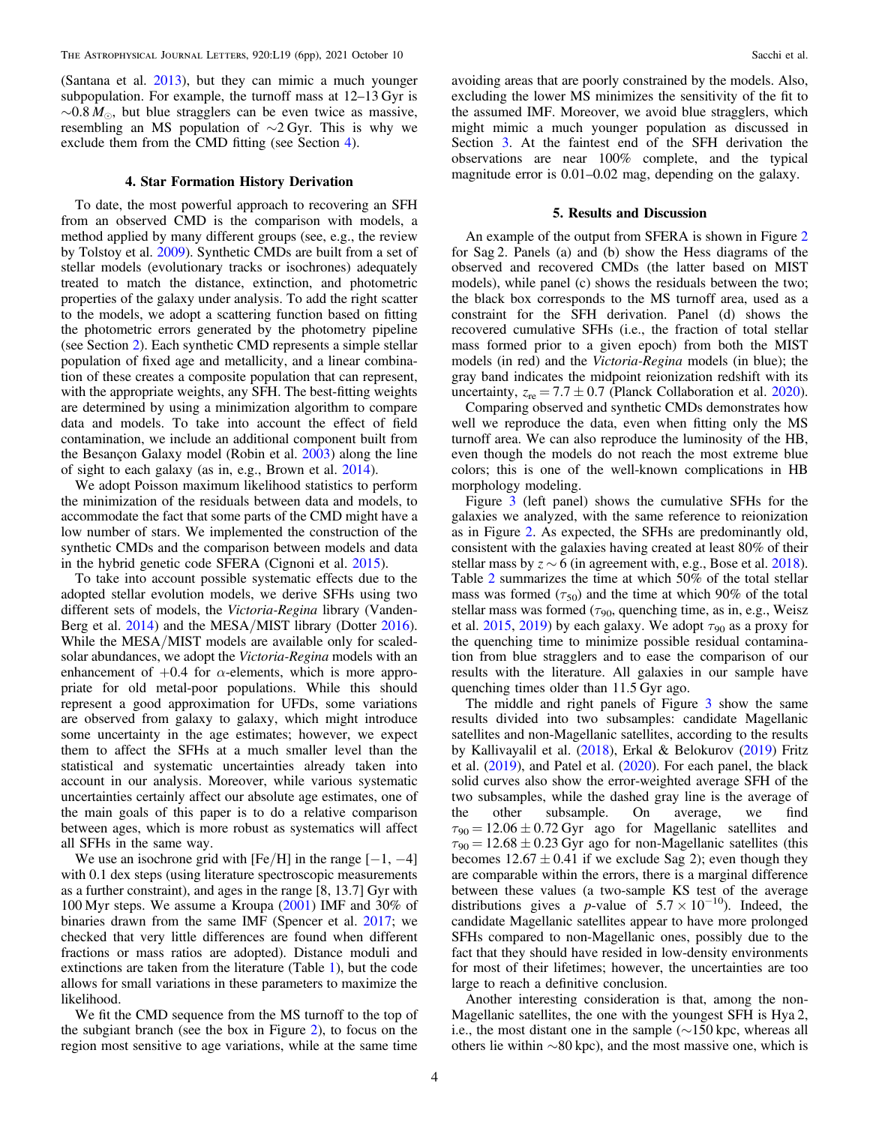(Santana et al. [2013](#page-5-0)), but they can mimic a much younger subpopulation. For example, the turnoff mass at 12–13 Gyr is  $\sim 0.8 M_{\odot}$ , but blue stragglers can be even twice as massive, resembling an MS population of ∼2 Gyr. This is why we exclude them from the CMD fitting (see Section 4).

#### 4. Star Formation History Derivation

To date, the most powerful approach to recovering an SFH from an observed CMD is the comparison with models, a method applied by many different groups (see, e.g., the review by Tolstoy et al. [2009](#page-5-0)). Synthetic CMDs are built from a set of stellar models (evolutionary tracks or isochrones) adequately treated to match the distance, extinction, and photometric properties of the galaxy under analysis. To add the right scatter to the models, we adopt a scattering function based on fitting the photometric errors generated by the photometry pipeline (see Section [2](#page-1-0)). Each synthetic CMD represents a simple stellar population of fixed age and metallicity, and a linear combination of these creates a composite population that can represent, with the appropriate weights, any SFH. The best-fitting weights are determined by using a minimization algorithm to compare data and models. To take into account the effect of field contamination, we include an additional component built from the Besançon Galaxy model (Robin et al. [2003](#page-5-0)) along the line of sight to each galaxy (as in, e.g., Brown et al. [2014](#page-5-0)).

We adopt Poisson maximum likelihood statistics to perform the minimization of the residuals between data and models, to accommodate the fact that some parts of the CMD might have a low number of stars. We implemented the construction of the synthetic CMDs and the comparison between models and data in the hybrid genetic code SFERA (Cignoni et al. [2015](#page-5-0)).

To take into account possible systematic effects due to the adopted stellar evolution models, we derive SFHs using two different sets of models, the Victoria-Regina library (Vanden-Berg et al. [2014](#page-5-0)) and the MESA/MIST library (Dotter [2016](#page-5-0)). While the MESA/MIST models are available only for scaledsolar abundances, we adopt the Victoria-Regina models with an enhancement of  $+0.4$  for  $\alpha$ -elements, which is more appropriate for old metal-poor populations. While this should represent a good approximation for UFDs, some variations are observed from galaxy to galaxy, which might introduce some uncertainty in the age estimates; however, we expect them to affect the SFHs at a much smaller level than the statistical and systematic uncertainties already taken into account in our analysis. Moreover, while various systematic uncertainties certainly affect our absolute age estimates, one of the main goals of this paper is to do a relative comparison between ages, which is more robust as systematics will affect all SFHs in the same way.

We use an isochrone grid with [Fe/H] in the range  $[-1, -4]$ with 0.1 dex steps (using literature spectroscopic measurements as a further constraint), and ages in the range [8, 13.7] Gyr with 100 Myr steps. We assume a Kroupa ([2001](#page-5-0)) IMF and 30% of binaries drawn from the same IMF (Spencer et al. [2017;](#page-5-0) we checked that very little differences are found when different fractions or mass ratios are adopted). Distance moduli and extinctions are taken from the literature (Table [1](#page-1-0)), but the code allows for small variations in these parameters to maximize the likelihood.

We fit the CMD sequence from the MS turnoff to the top of the subgiant branch (see the box in Figure [2](#page-4-0)), to focus on the region most sensitive to age variations, while at the same time

avoiding areas that are poorly constrained by the models. Also, excluding the lower MS minimizes the sensitivity of the fit to the assumed IMF. Moreover, we avoid blue stragglers, which might mimic a much younger population as discussed in Section [3](#page-2-0). At the faintest end of the SFH derivation the observations are near 100% complete, and the typical magnitude error is 0.01–0.02 mag, depending on the galaxy.

### 5. Results and Discussion

An example of the output from SFERA is shown in Figure [2](#page-4-0) for Sag 2. Panels (a) and (b) show the Hess diagrams of the observed and recovered CMDs (the latter based on MIST models), while panel (c) shows the residuals between the two; the black box corresponds to the MS turnoff area, used as a constraint for the SFH derivation. Panel (d) shows the recovered cumulative SFHs (i.e., the fraction of total stellar mass formed prior to a given epoch) from both the MIST models (in red) and the Victoria-Regina models (in blue); the gray band indicates the midpoint reionization redshift with its uncertainty,  $z_{\text{re}} = 7.7 \pm 0.7$  (Planck Collaboration et al. [2020](#page-5-0)).

Comparing observed and synthetic CMDs demonstrates how well we reproduce the data, even when fitting only the MS turnoff area. We can also reproduce the luminosity of the HB, even though the models do not reach the most extreme blue colors; this is one of the well-known complications in HB morphology modeling.

Figure [3](#page-4-0) (left panel) shows the cumulative SFHs for the galaxies we analyzed, with the same reference to reionization as in Figure [2.](#page-4-0) As expected, the SFHs are predominantly old, consistent with the galaxies having created at least 80% of their stellar mass by  $z \sim 6$  (in agreement with, e.g., Bose et al. [2018](#page-5-0)). Table [2](#page-4-0) summarizes the time at which 50% of the total stellar mass was formed  $(\tau_{50})$  and the time at which 90% of the total stellar mass was formed ( $\tau_{90}$ , quenching time, as in, e.g., Weisz et al. [2015](#page-5-0), [2019](#page-5-0)) by each galaxy. We adopt  $\tau_{90}$  as a proxy for the quenching time to minimize possible residual contamination from blue stragglers and to ease the comparison of our results with the literature. All galaxies in our sample have quenching times older than 11.5 Gyr ago.

The middle and right panels of Figure [3](#page-4-0) show the same results divided into two subsamples: candidate Magellanic satellites and non-Magellanic satellites, according to the results by Kallivayalil et al. ([2018](#page-5-0)), Erkal & Belokurov ([2019](#page-5-0)) Fritz et al. ([2019](#page-5-0)), and Patel et al. ([2020](#page-5-0)). For each panel, the black solid curves also show the error-weighted average SFH of the two subsamples, while the dashed gray line is the average of the other subsample. On average, we find  $\tau_{90} = 12.06 \pm 0.72$  Gyr ago for Magellanic satellites and  $\tau_{90} = 12.68 \pm 0.23$  Gyr ago for non-Magellanic satellites (this becomes  $12.67 \pm 0.41$  if we exclude Sag 2); even though they are comparable within the errors, there is a marginal difference between these values (a two-sample KS test of the average distributions gives a *p*-value of  $5.7 \times 10^{-10}$ ). Indeed, the candidate Magellanic satellites appear to have more prolonged SFHs compared to non-Magellanic ones, possibly due to the fact that they should have resided in low-density environments for most of their lifetimes; however, the uncertainties are too large to reach a definitive conclusion.

Another interesting consideration is that, among the non-Magellanic satellites, the one with the youngest SFH is Hya 2, i.e., the most distant one in the sample (∼150 kpc, whereas all others lie within ∼80 kpc), and the most massive one, which is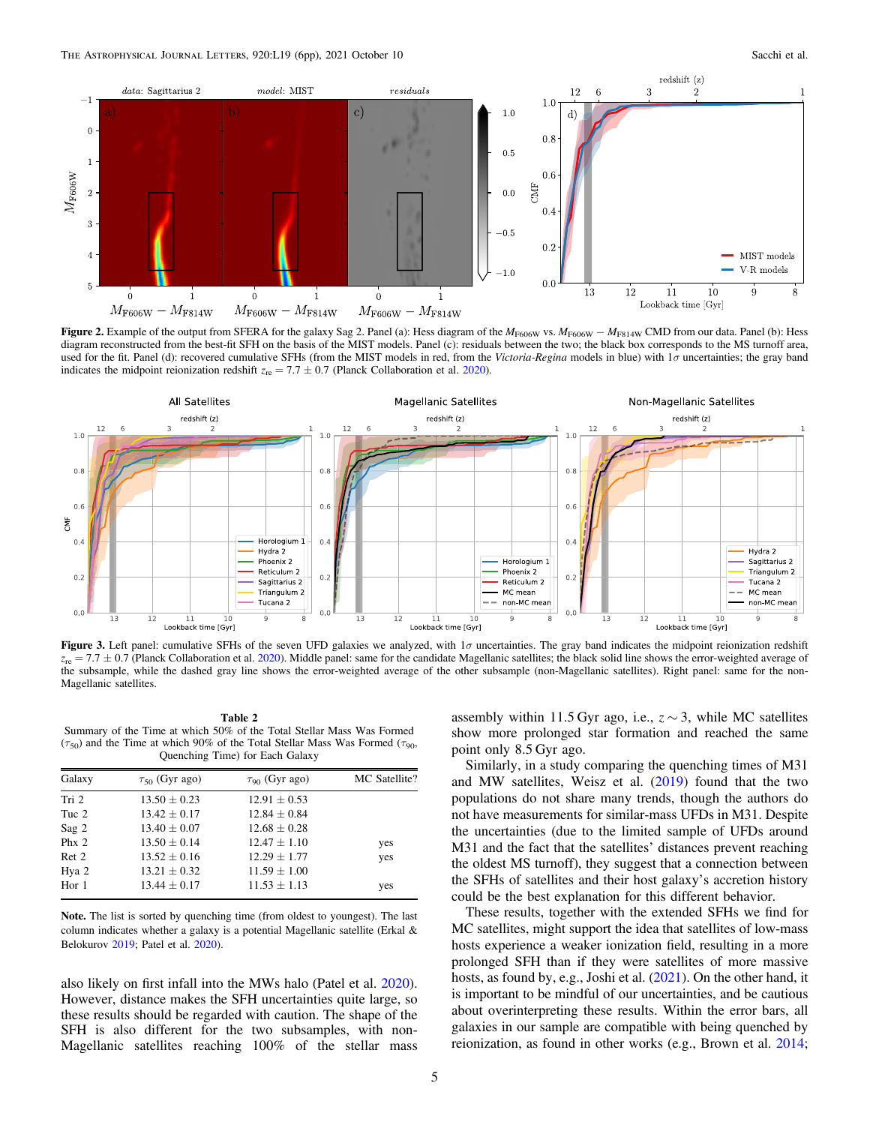<span id="page-4-0"></span>

Figure 2. Example of the output from SFERA for the galaxy Sag 2. Panel (a): Hess diagram of the  $M_{F606W}$  vs.  $M_{F606W}$  −  $M_{F814W}$  CMD from our data. Panel (b): Hess diagram reconstructed from the best-fit SFH on the basis of the MIST models. Panel (c): residuals between the two; the black box corresponds to the MS turnoff area, used for the fit. Panel (d): recovered cumulative SFHs (from the MIST models in red, from the Victoria-Regina models in blue) with 1σ uncertainties; the gray band indicates the midpoint reionization redshift  $z_{\text{re}} = 7.7 \pm 0.7$  (Planck Collaboration et al. [2020](#page-5-0)).



Figure 3. Left panel: cumulative SFHs of the seven UFD galaxies we analyzed, with 1σ uncertainties. The gray band indicates the midpoint reionization redshift  $z_{\text{re}} = 7.7 \pm 0.7$  (Planck Collaboration et al. [2020](#page-5-0)). Middle panel: same for the candidate Magellanic satellites; the black solid line shows the error-weighted average of the subsample, while the dashed gray line shows the error-weighted average of the other subsample (non-Magellanic satellites). Right panel: same for the non-Magellanic satellites.

Table 2 Summary of the Time at which 50% of the Total Stellar Mass Was Formed ( $\tau_{50}$ ) and the Time at which 90% of the Total Stellar Mass Was Formed ( $\tau_{90}$ , Quenching Time) for Each Galaxy

| Galaxy  | $\tau_{50}$ (Gyr ago) | $\tau_{90}$ (Gyr ago) | MC Satellite? |
|---------|-----------------------|-----------------------|---------------|
| Tri 2   | $13.50 \pm 0.23$      | $12.91 \pm 0.53$      |               |
| Tuc 2   | $13.42 \pm 0.17$      | $12.84 \pm 0.84$      |               |
| Sag 2   | $13.40 \pm 0.07$      | $12.68 \pm 0.28$      |               |
| Ph $x2$ | $13.50 \pm 0.14$      | $12.47 \pm 1.10$      | yes           |
| Ret 2   | $13.52 \pm 0.16$      | $12.29 \pm 1.77$      | yes           |
| Hya 2   | $13.21 \pm 0.32$      | $11.59 \pm 1.00$      |               |
| Hor $1$ | $13.44 \pm 0.17$      | $11.53 \pm 1.13$      | yes           |

Note. The list is sorted by quenching time (from oldest to youngest). The last column indicates whether a galaxy is a potential Magellanic satellite (Erkal & Belokurov [2019](#page-5-0); Patel et al. [2020](#page-5-0)).

also likely on first infall into the MWs halo (Patel et al. [2020](#page-5-0)). However, distance makes the SFH uncertainties quite large, so these results should be regarded with caution. The shape of the SFH is also different for the two subsamples, with non-Magellanic satellites reaching 100% of the stellar mass assembly within 11.5 Gyr ago, i.e.,  $z \sim 3$ , while MC satellites show more prolonged star formation and reached the same point only 8.5 Gyr ago.

Similarly, in a study comparing the quenching times of M31 and MW satellites, Weisz et al.  $(2019)$  $(2019)$  $(2019)$  found that the two populations do not share many trends, though the authors do not have measurements for similar-mass UFDs in M31. Despite the uncertainties (due to the limited sample of UFDs around M31 and the fact that the satellites' distances prevent reaching the oldest MS turnoff), they suggest that a connection between the SFHs of satellites and their host galaxy's accretion history could be the best explanation for this different behavior.

These results, together with the extended SFHs we find for MC satellites, might support the idea that satellites of low-mass hosts experience a weaker ionization field, resulting in a more prolonged SFH than if they were satellites of more massive hosts, as found by, e.g., Joshi et al. ([2021](#page-5-0)). On the other hand, it is important to be mindful of our uncertainties, and be cautious about overinterpreting these results. Within the error bars, all galaxies in our sample are compatible with being quenched by reionization, as found in other works (e.g., Brown et al. [2014](#page-5-0);